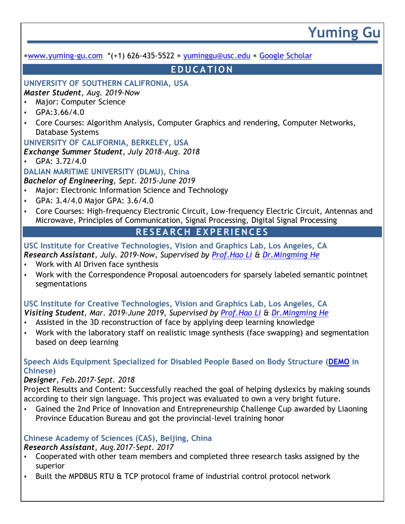## **Yuming Gu** [www.yuming-gu.com](http://www.yuming-gu.com/) \*(+1) 626-435-5522 [yuminggu@usc.edu](mailto:yuminggu@usc.edu) [Google Scholar](https://scholar.google.com/citations?user=qvciWWMAAAAJ&hl=zh-TW) **E D U C A TI O N UNIVERSITY OF SOUTHERN CALIFRONIA, USA** *Master Student, Aug. 2019-Now* ⬧ Major: Computer Science GPA: 3.66/4.0 ⬧ Core Courses: Algorithm Analysis, Computer Graphics and rendering, Computer Networks, Database Systems **UNIVERSITY OF CALIFORNIA, BERKELEY, USA** *Exchange Summer Student, July 2018-Aug. 2018* ⬧ GPA: 3.72/4.0 **DALIAN MARITIME UNIVERSITY (DLMU), China** *Bachelor of Engineering, Sept. 2015-June 2019* Major: Electronic Information Science and Technology ⬧ GPA: 3.4/4.0 Major GPA: 3.6/4.0 ⬧ Core Courses: High-frequency Electronic Circuit, Low-frequency Electric Circuit, Antennas and Microwave, Principles of Communication, Signal Processing, Digital Signal Processing **R E S EA R C H E X PE R IE N C E S USC Institute for Creative Technologies, Vision and Graphics Lab, Los Angeles, CA** *Research Assistant, July. 2019-Now, Supervised by [Prof.Hao Li](http://www.hao-li.com/) & [Dr.Mingming He](http://mingminghe.com/)* ⬧ Work with AI Driven face synthesis ⬧ Work with the Correspondence Proposal autoencoders for sparsely labeled semantic pointnet segmentations **USC Institute for Creative Technologies, Vision and Graphics Lab, Los Angeles, CA** *Visiting Student, Mar. 2019-June 2019, Supervised by [Prof.Hao Li](http://www.hao-li.com/) & [Dr.Mingming He](http://mingminghe.com/)* ⬧ Assisted in the 3D reconstruction of face by applying deep learning knowledge ⬧ Work with the laboratory staff on realistic image synthesis (face swapping) and segmentation based on deep learning **Speech Aids Equipment Specialized for Disabled People Based on Body Structure [\(DEMO](https://drive.google.com/file/d/1HknO_kCvOHbzENoCdlP0ypWjxtbuZi4X/view?usp=sharing) in Chinese)** *Designer, Feb.2017-Sept. 2018* Project Results and Content: Successfully reached the goal of helping dyslexics by making sounds according to their sign language. This project was evaluated to own a very bright future.

⬧ Gained the 2nd Price of Innovation and Entrepreneurship Challenge Cup awarded by Liaoning Province Education Bureau and got the provincial-level training honor

## **Chinese Academy of Sciences (CAS), Beijing, China**

## *Research Assistant, Aug.2017-Sept. 2017*

- ⬧ Cooperated with other team members and completed three research tasks assigned by the superior
- Built the MPDBUS RTU & TCP protocol frame of industrial control protocol network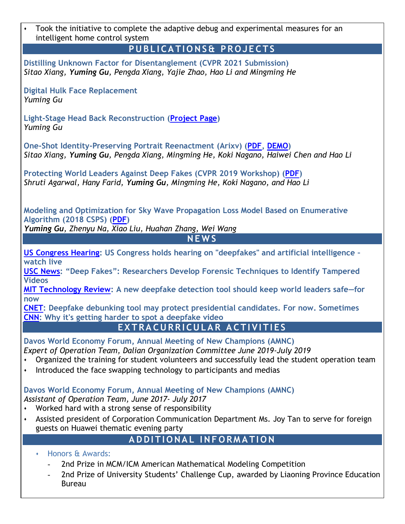| Took the initiative to complete the adaptive debug and experimental measures for an<br>$\blacklozenge$<br>intelligent home control system                                                                                                                                                                                |
|--------------------------------------------------------------------------------------------------------------------------------------------------------------------------------------------------------------------------------------------------------------------------------------------------------------------------|
| PUBLICATIONS& PROJECTS                                                                                                                                                                                                                                                                                                   |
| Distilling Unknown Factor for Disentanglement (CVPR 2021 Submission)<br>Sitao Xiang, Yuming Gu, Pengda Xiang, Yajie Zhao, Hao Li and Mingming He                                                                                                                                                                         |
| <b>Digital Hulk Face Replacement</b><br>Yuming Gu                                                                                                                                                                                                                                                                        |
| Light-Stage Head Back Reconstruction (Project Page)<br><b>Yuming Gu</b>                                                                                                                                                                                                                                                  |
| One-Shot Identity-Preserving Portrait Reenactment (Arixv) (PDF, DEMO)<br>Sitao Xiang, Yuming Gu, Pengda Xiang, Mingming He, Koki Nagano, Haiwei Chen and Hao Li                                                                                                                                                          |
| Protecting World Leaders Against Deep Fakes (CVPR 2019 Workshop) (PDF)<br>Shruti Agarwal, Hany Farid, Yuming Gu, Mingming He, Koki Nagano, and Hao Li                                                                                                                                                                    |
| Modeling and Optimization for Sky Wave Propagation Loss Model Based on Enumerative<br>Algorithm (2018 CSPS) (PDF)<br>Yuming Gu, Zhenyu Na, Xiao Liu, Huahan Zhang, Wei Wang                                                                                                                                              |
| NEWS                                                                                                                                                                                                                                                                                                                     |
| US Congress Hearing: US Congress holds hearing on "deepfakes" and artificial intelligence -<br>watch live                                                                                                                                                                                                                |
| <b>USC News: "Deep Fakes": Researchers Develop Forensic Techniques to Identify Tampered</b><br><b>Videos</b>                                                                                                                                                                                                             |
| MIT Technology Review: A new deepfake detection tool should keep world leaders safe-for<br>now                                                                                                                                                                                                                           |
| <b>CNET:</b> Deepfake debunking tool may protect presidential candidates. For now. Sometimes<br><b>CNN:</b> Why it's getting harder to spot a deepfake video                                                                                                                                                             |
| EXTRACURRICULAR ACTIVITIES                                                                                                                                                                                                                                                                                               |
| Davos World Economy Forum, Annual Meeting of New Champions (AMNC)<br>Expert of Operation Team, Dalian Organization Committee June 2019-July 2019<br>Organized the training for student volunteers and successfully lead the student operation team<br>Introduced the face swapping technology to participants and medias |
| Davos World Economy Forum, Annual Meeting of New Champions (AMNC)<br>Assistant of Operation Team, June 2017- July 2017<br>Worked hard with a strong sense of responsibility                                                                                                                                              |
| Assisted president of Corporation Communication Department Ms. Joy Tan to serve for foreign<br>٠<br>guests on Huawei thematic evening party                                                                                                                                                                              |
| ADDITIONAL INFORMATION                                                                                                                                                                                                                                                                                                   |
| Honors & Awards:<br>2nd Prize in MCM/ICM American Mathematical Modeling Competition<br>2nd Prize of University Students' Challenge Cup, awarded by Liaoning Province Education<br><b>Bureau</b>                                                                                                                          |